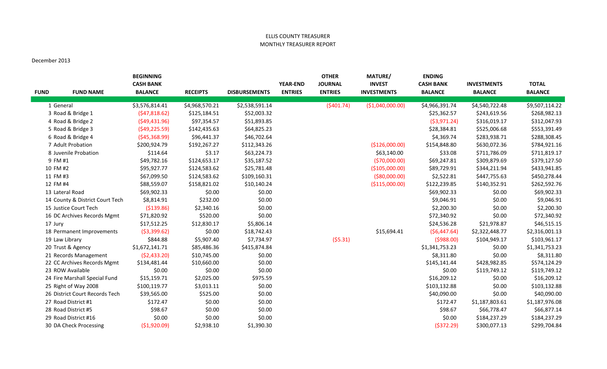## ELLIS COUNTY TREASURER MONTHLY TREASURER REPORT

## December 2013

| <b>FUND</b> | <b>FUND NAME</b>                | <b>BEGINNING</b><br><b>CASH BANK</b><br><b>BALANCE</b> | <b>RECEIPTS</b> | <b>DISBURSEMENTS</b> | <b>YEAR-END</b><br><b>ENTRIES</b> | <b>OTHER</b><br><b>JOURNAL</b><br><b>ENTRIES</b> | <b>MATURE/</b><br><b>INVEST</b><br><b>INVESTMENTS</b> | <b>ENDING</b><br><b>CASH BANK</b><br><b>BALANCE</b> | <b>INVESTMENTS</b><br><b>BALANCE</b> | <b>TOTAL</b><br><b>BALANCE</b> |
|-------------|---------------------------------|--------------------------------------------------------|-----------------|----------------------|-----------------------------------|--------------------------------------------------|-------------------------------------------------------|-----------------------------------------------------|--------------------------------------|--------------------------------|
|             | 1 General                       | \$3,576,814.41                                         | \$4,968,570.21  | \$2,538,591.14       |                                   | (5401.74)                                        | ( \$1,040,000.00)                                     | \$4,966,391.74                                      | \$4,540,722.48                       | \$9,507,114.22                 |
|             | 3 Road & Bridge 1               | (547, 818.62)                                          | \$125,184.51    | \$52,003.32          |                                   |                                                  |                                                       | \$25,362.57                                         | \$243,619.56                         | \$268,982.13                   |
|             | 4 Road & Bridge 2               | (549, 431.96)                                          | \$97,354.57     | \$51,893.85          |                                   |                                                  |                                                       | ( \$3,971.24)                                       | \$316,019.17                         | \$312,047.93                   |
|             | 5 Road & Bridge 3               | (549, 225.59)                                          | \$142,435.63    | \$64,825.23          |                                   |                                                  |                                                       | \$28,384.81                                         | \$525,006.68                         | \$553,391.49                   |
|             | 6 Road & Bridge 4               | (545, 368.99)                                          | \$96,441.37     | \$46,702.64          |                                   |                                                  |                                                       | \$4,369.74                                          | \$283,938.71                         | \$288,308.45                   |
|             | 7 Adult Probation               | \$200,924.79                                           | \$192,267.27    | \$112,343.26         |                                   |                                                  | (\$126,000.00)                                        | \$154,848.80                                        | \$630,072.36                         | \$784,921.16                   |
|             | 8 Juvenile Probation            | \$114.64                                               | \$3.17          | \$63,224.73          |                                   |                                                  | \$63,140.00                                           | \$33.08                                             | \$711,786.09                         | \$711,819.17                   |
|             | 9 FM #1                         | \$49,782.16                                            | \$124,653.17    | \$35,187.52          |                                   |                                                  | ( \$70,000.00)                                        | \$69,247.81                                         | \$309,879.69                         | \$379,127.50                   |
|             | 10 FM #2                        | \$95,927.77                                            | \$124,583.62    | \$25,781.48          |                                   |                                                  | (\$105,000.00)                                        | \$89,729.91                                         | \$344,211.94                         | \$433,941.85                   |
|             | 11 FM #3                        | \$67,099.50                                            | \$124,583.62    | \$109,160.31         |                                   |                                                  | ( \$80,000.00)                                        | \$2,522.81                                          | \$447,755.63                         | \$450,278.44                   |
|             | 12 FM #4                        | \$88,559.07                                            | \$158,821.02    | \$10,140.24          |                                   |                                                  | ( \$115,000.00)                                       | \$122,239.85                                        | \$140,352.91                         | \$262,592.76                   |
|             | 13 Lateral Road                 | \$69,902.33                                            | \$0.00          | \$0.00               |                                   |                                                  |                                                       | \$69,902.33                                         | \$0.00                               | \$69,902.33                    |
|             | 14 County & District Court Tech | \$8,814.91                                             | \$232.00        | \$0.00               |                                   |                                                  |                                                       | \$9,046.91                                          | \$0.00                               | \$9,046.91                     |
|             | 15 Justice Court Tech           | ( \$139.86)                                            | \$2,340.16      | \$0.00               |                                   |                                                  |                                                       | \$2,200.30                                          | \$0.00                               | \$2,200.30                     |
|             | 16 DC Archives Records Mgmt     | \$71,820.92                                            | \$520.00        | \$0.00               |                                   |                                                  |                                                       | \$72,340.92                                         | \$0.00                               | \$72,340.92                    |
| 17 Jury     |                                 | \$17,512.25                                            | \$12,830.17     | \$5,806.14           |                                   |                                                  |                                                       | \$24,536.28                                         | \$21,978.87                          | \$46,515.15                    |
|             | 18 Permanent Improvements       | ( \$3,399.62)                                          | \$0.00          | \$18,742.43          |                                   |                                                  | \$15,694.41                                           | (56, 447.64)                                        | \$2,322,448.77                       | \$2,316,001.13                 |
|             | 19 Law Library                  | \$844.88                                               | \$5,907.40      | \$7,734.97           |                                   | (55.31)                                          |                                                       | (5988.00)                                           | \$104,949.17                         | \$103,961.17                   |
|             | 20 Trust & Agency               | \$1,672,141.71                                         | \$85,486.36     | \$415,874.84         |                                   |                                                  |                                                       | \$1,341,753.23                                      | \$0.00                               | \$1,341,753.23                 |
|             | 21 Records Management           | (52, 433.20)                                           | \$10,745.00     | \$0.00               |                                   |                                                  |                                                       | \$8,311.80                                          | \$0.00                               | \$8,311.80                     |
|             | 22 CC Archives Records Mgmt     | \$134,481.44                                           | \$10,660.00     | \$0.00               |                                   |                                                  |                                                       | \$145,141.44                                        | \$428,982.85                         | \$574,124.29                   |
|             | 23 ROW Available                | \$0.00                                                 | \$0.00          | \$0.00               |                                   |                                                  |                                                       | \$0.00                                              | \$119,749.12                         | \$119,749.12                   |
|             | 24 Fire Marshall Special Fund   | \$15,159.71                                            | \$2,025.00      | \$975.59             |                                   |                                                  |                                                       | \$16,209.12                                         | \$0.00                               | \$16,209.12                    |
|             | 25 Right of Way 2008            | \$100,119.77                                           | \$3,013.11      | \$0.00               |                                   |                                                  |                                                       | \$103,132.88                                        | \$0.00                               | \$103,132.88                   |
|             | 26 District Court Records Tech  | \$39,565.00                                            | \$525.00        | \$0.00               |                                   |                                                  |                                                       | \$40,090.00                                         | \$0.00                               | \$40,090.00                    |
|             | 27 Road District #1             | \$172.47                                               | \$0.00          | \$0.00               |                                   |                                                  |                                                       | \$172.47                                            | \$1,187,803.61                       | \$1,187,976.08                 |
|             | 28 Road District #5             | \$98.67                                                | \$0.00          | \$0.00               |                                   |                                                  |                                                       | \$98.67                                             | \$66,778.47                          | \$66,877.14                    |
|             | 29 Road District #16            | \$0.00                                                 | \$0.00          | \$0.00               |                                   |                                                  |                                                       | \$0.00                                              | \$184,237.29                         | \$184,237.29                   |
|             | 30 DA Check Processing          | (51,920.09)                                            | \$2,938.10      | \$1,390.30           |                                   |                                                  |                                                       | (5372.29)                                           | \$300,077.13                         | \$299,704.84                   |